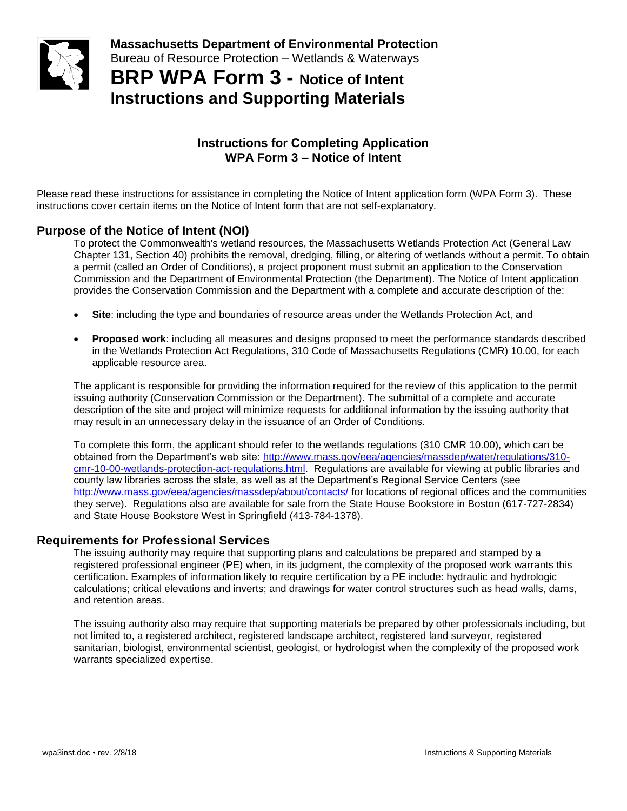

**BRP WPA Form 3 - Notice of Intent Instructions and Supporting Materials**

## **Instructions for Completing Application WPA Form 3 – Notice of Intent**

Please read these instructions for assistance in completing the Notice of Intent application form (WPA Form 3). These instructions cover certain items on the Notice of Intent form that are not self-explanatory.

### **Purpose of the Notice of Intent (NOI)**

To protect the Commonwealth's wetland resources, the Massachusetts Wetlands Protection Act (General Law Chapter 131, Section 40) prohibits the removal, dredging, filling, or altering of wetlands without a permit. To obtain a permit (called an Order of Conditions), a project proponent must submit an application to the Conservation Commission and the Department of Environmental Protection (the Department). The Notice of Intent application provides the Conservation Commission and the Department with a complete and accurate description of the:

- **Site**: including the type and boundaries of resource areas under the Wetlands Protection Act, and
- **Proposed work**: including all measures and designs proposed to meet the performance standards described in the Wetlands Protection Act Regulations, 310 Code of Massachusetts Regulations (CMR) 10.00, for each applicable resource area.

The applicant is responsible for providing the information required for the review of this application to the permit issuing authority (Conservation Commission or the Department). The submittal of a complete and accurate description of the site and project will minimize requests for additional information by the issuing authority that may result in an unnecessary delay in the issuance of an Order of Conditions.

To complete this form, the applicant should refer to the wetlands regulations (310 CMR 10.00), which can be obtained from the Department's web site: [http://www.mass.gov/eea/agencies/massdep/water/regulations/310](http://www.mass.gov/eea/agencies/massdep/water/regulations/310-cmr-10-00-wetlands-protection-act-regulations.html) [cmr-10-00-wetlands-protection-act-regulations.html.](http://www.mass.gov/eea/agencies/massdep/water/regulations/310-cmr-10-00-wetlands-protection-act-regulations.html) Regulations are available for viewing at public libraries and county law libraries across the state, as well as at the Department's Regional Service Centers (see <http://www.mass.gov/eea/agencies/massdep/about/contacts/> for locations of regional offices and the communities they serve). Regulations also are available for sale from the State House Bookstore in Boston (617-727-2834) and State House Bookstore West in Springfield (413-784-1378).

#### **Requirements for Professional Services**

The issuing authority may require that supporting plans and calculations be prepared and stamped by a registered professional engineer (PE) when, in its judgment, the complexity of the proposed work warrants this certification. Examples of information likely to require certification by a PE include: hydraulic and hydrologic calculations; critical elevations and inverts; and drawings for water control structures such as head walls, dams, and retention areas.

The issuing authority also may require that supporting materials be prepared by other professionals including, but not limited to, a registered architect, registered landscape architect, registered land surveyor, registered sanitarian, biologist, environmental scientist, geologist, or hydrologist when the complexity of the proposed work warrants specialized expertise.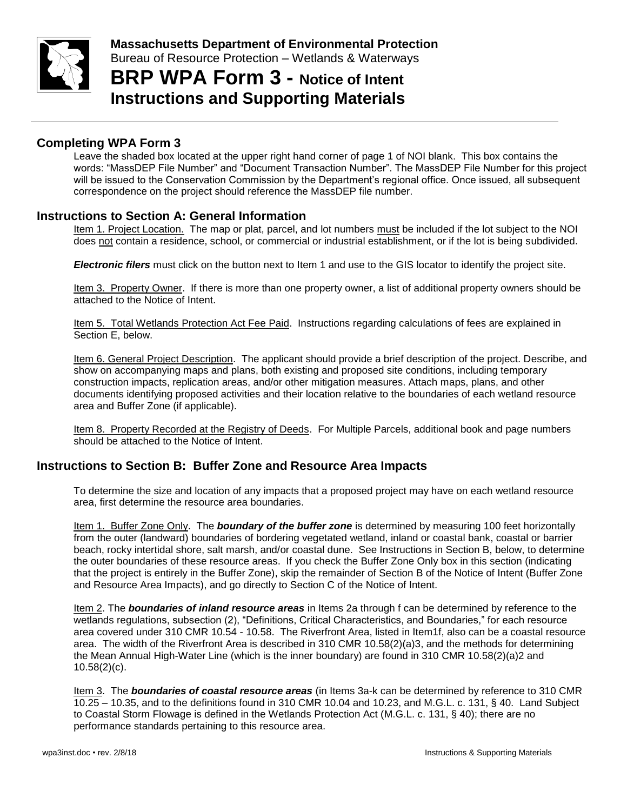

# **BRP WPA Form 3 - Notice of Intent Instructions and Supporting Materials**

### **Completing WPA Form 3**

Leave the shaded box located at the upper right hand corner of page 1 of NOI blank. This box contains the words: "MassDEP File Number" and "Document Transaction Number". The MassDEP File Number for this project will be issued to the Conservation Commission by the Department's regional office. Once issued, all subsequent correspondence on the project should reference the MassDEP file number.

#### **Instructions to Section A: General Information**

Item 1. Project Location. The map or plat, parcel, and lot numbers must be included if the lot subject to the NOI does not contain a residence, school, or commercial or industrial establishment, or if the lot is being subdivided.

*Electronic filers* must click on the button next to Item 1 and use to the GIS locator to identify the project site.

Item 3. Property Owner. If there is more than one property owner, a list of additional property owners should be attached to the Notice of Intent.

Item 5. Total Wetlands Protection Act Fee Paid. Instructions regarding calculations of fees are explained in Section E, below.

Item 6. General Project Description. The applicant should provide a brief description of the project. Describe, and show on accompanying maps and plans, both existing and proposed site conditions, including temporary construction impacts, replication areas, and/or other mitigation measures. Attach maps, plans, and other documents identifying proposed activities and their location relative to the boundaries of each wetland resource area and Buffer Zone (if applicable).

Item 8. Property Recorded at the Registry of Deeds. For Multiple Parcels, additional book and page numbers should be attached to the Notice of Intent.

#### **Instructions to Section B: Buffer Zone and Resource Area Impacts**

To determine the size and location of any impacts that a proposed project may have on each wetland resource area, first determine the resource area boundaries.

Item 1. Buffer Zone Only. The *boundary of the buffer zone* is determined by measuring 100 feet horizontally from the outer (landward) boundaries of bordering vegetated wetland, inland or coastal bank, coastal or barrier beach, rocky intertidal shore, salt marsh, and/or coastal dune. See Instructions in Section B, below, to determine the outer boundaries of these resource areas. If you check the Buffer Zone Only box in this section (indicating that the project is entirely in the Buffer Zone), skip the remainder of Section B of the Notice of Intent (Buffer Zone and Resource Area Impacts), and go directly to Section C of the Notice of Intent.

Item 2. The *boundaries of inland resource areas* in Items 2a through f can be determined by reference to the wetlands regulations, subsection (2), "Definitions, Critical Characteristics, and Boundaries," for each resource area covered under 310 CMR 10.54 - 10.58. The Riverfront Area, listed in Item1f, also can be a coastal resource area. The width of the Riverfront Area is described in 310 CMR 10.58(2)(a)3, and the methods for determining the Mean Annual High-Water Line (which is the inner boundary) are found in 310 CMR 10.58(2)(a)2 and 10.58(2)(c).

Item 3. The *boundaries of coastal resource areas* (in Items 3a-k can be determined by reference to 310 CMR 10.25 – 10.35, and to the definitions found in 310 CMR 10.04 and 10.23, and M.G.L. c. 131, § 40. Land Subject to Coastal Storm Flowage is defined in the Wetlands Protection Act (M.G.L. c. 131, § 40); there are no performance standards pertaining to this resource area.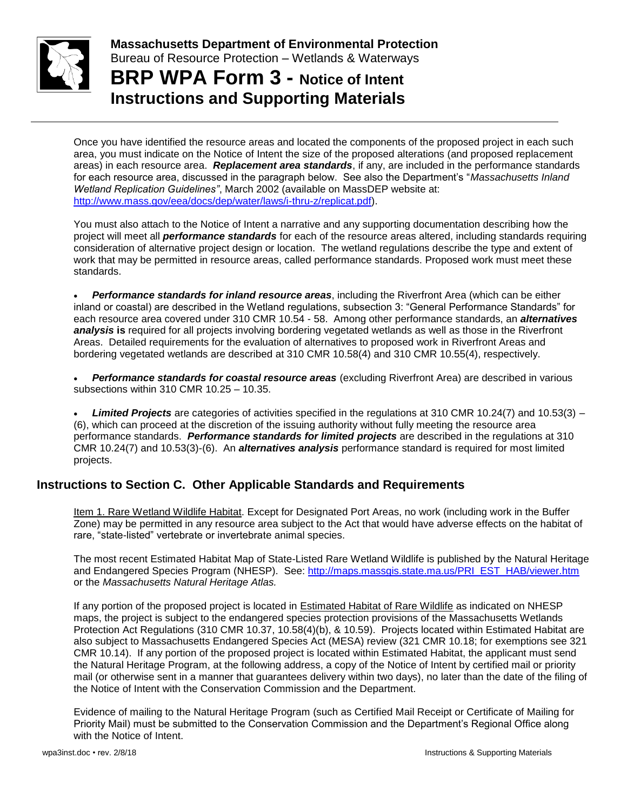

**Massachusetts Department of Environmental Protection**  Bureau of Resource Protection – Wetlands & Waterways **BRP WPA Form 3 - Notice of Intent**

**Instructions and Supporting Materials**

Once you have identified the resource areas and located the components of the proposed project in each such area, you must indicate on the Notice of Intent the size of the proposed alterations (and proposed replacement areas) in each resource area. *Replacement area standards*, if any, are included in the performance standards for each resource area, discussed in the paragraph below. See also the Department's "*Massachusetts Inland Wetland Replication Guidelines"*, March 2002 (available on MassDEP website at: [http://www.mass.gov/eea/docs/dep/water/laws/i-thru-z/replicat.pdf\)](http://www.mass.gov/eea/docs/dep/water/laws/i-thru-z/replicat.pdf).

You must also attach to the Notice of Intent a narrative and any supporting documentation describing how the project will meet all *performance standards* for each of the resource areas altered, including standards requiring consideration of alternative project design or location. The wetland regulations describe the type and extent of work that may be permitted in resource areas, called performance standards. Proposed work must meet these standards.

• *Performance standards for inland resource areas*, including the Riverfront Area (which can be either inland or coastal) are described in the Wetland regulations, subsection 3: "General Performance Standards" for each resource area covered under 310 CMR 10.54 - 58. Among other performance standards, an *alternatives analysis* **is** required for all projects involving bordering vegetated wetlands as well as those in the Riverfront Areas. Detailed requirements for the evaluation of alternatives to proposed work in Riverfront Areas and bordering vegetated wetlands are described at 310 CMR 10.58(4) and 310 CMR 10.55(4), respectively.

• *Performance standards for coastal resource areas* (excluding Riverfront Area) are described in various subsections within 310 CMR 10.25 – 10.35.

• *Limited Projects* are categories of activities specified in the regulations at 310 CMR 10.24(7) and 10.53(3) – (6), which can proceed at the discretion of the issuing authority without fully meeting the resource area performance standards. *Performance standards for limited projects* are described in the regulations at 310 CMR 10.24(7) and 10.53(3)-(6). An *alternatives analysis* performance standard is required for most limited projects.

## **Instructions to Section C. Other Applicable Standards and Requirements**

Item 1. Rare Wetland Wildlife Habitat. Except for Designated Port Areas, no work (including work in the Buffer Zone) may be permitted in any resource area subject to the Act that would have adverse effects on the habitat of rare, "state-listed" vertebrate or invertebrate animal species.

The most recent Estimated Habitat Map of State-Listed Rare Wetland Wildlife is published by the Natural Heritage and Endangered Species Program (NHESP). See: [http://maps.massgis.state.ma.us/PRI\\_EST\\_HAB/viewer.htm](http://maps.massgis.state.ma.us/PRI_EST_HAB/viewer.htm) or the *Massachusetts Natural Heritage Atlas.*

If any portion of the proposed project is located in Estimated Habitat of Rare Wildlife as indicated on NHESP maps, the project is subject to the endangered species protection provisions of the Massachusetts Wetlands Protection Act Regulations (310 CMR 10.37, 10.58(4)(b), & 10.59). Projects located within Estimated Habitat are also subject to Massachusetts Endangered Species Act (MESA) review (321 CMR 10.18; for exemptions see 321 CMR 10.14). If any portion of the proposed project is located within Estimated Habitat, the applicant must send the Natural Heritage Program, at the following address, a copy of the Notice of Intent by certified mail or priority mail (or otherwise sent in a manner that guarantees delivery within two days), no later than the date of the filing of the Notice of Intent with the Conservation Commission and the Department.

Evidence of mailing to the Natural Heritage Program (such as Certified Mail Receipt or Certificate of Mailing for Priority Mail) must be submitted to the Conservation Commission and the Department's Regional Office along with the Notice of Intent.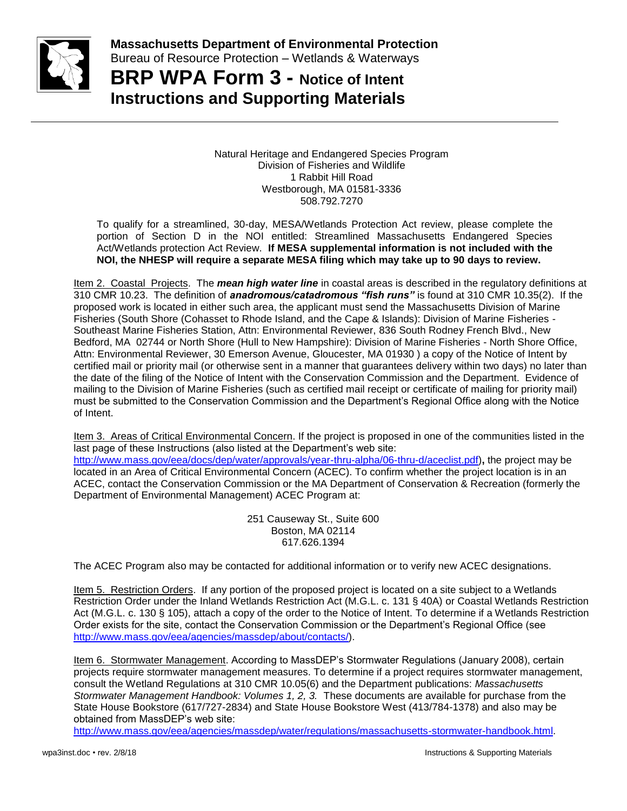

**BRP WPA Form 3 - Notice of Intent Instructions and Supporting Materials**

> Natural Heritage and Endangered Species Program Division of Fisheries and Wildlife 1 Rabbit Hill Road Westborough, MA 01581-3336 508.792.7270

To qualify for a streamlined, 30-day, MESA/Wetlands Protection Act review, please complete the portion of Section D in the NOI entitled: Streamlined Massachusetts Endangered Species Act/Wetlands protection Act Review. **If MESA supplemental information is not included with the NOI, the NHESP will require a separate MESA filing which may take up to 90 days to review.**

Item 2. Coastal Projects. The *mean high water line* in coastal areas is described in the regulatory definitions at 310 CMR 10.23. The definition of *anadromous/catadromous "fish runs"* is found at 310 CMR 10.35(2). If the proposed work is located in either such area, the applicant must send the Massachusetts Division of Marine Fisheries (South Shore (Cohasset to Rhode Island, and the Cape & Islands): Division of Marine Fisheries - Southeast Marine Fisheries Station, Attn: Environmental Reviewer, 836 South Rodney French Blvd., New Bedford, MA 02744 or North Shore (Hull to New Hampshire): Division of Marine Fisheries - North Shore Office, Attn: Environmental Reviewer, 30 Emerson Avenue, Gloucester, MA 01930 ) a copy of the Notice of Intent by certified mail or priority mail (or otherwise sent in a manner that guarantees delivery within two days) no later than the date of the filing of the Notice of Intent with the Conservation Commission and the Department. Evidence of mailing to the Division of Marine Fisheries (such as certified mail receipt or certificate of mailing for priority mail) must be submitted to the Conservation Commission and the Department's Regional Office along with the Notice of Intent.

Item 3. Areas of Critical Environmental Concern. If the project is proposed in one of the communities listed in the last page of these Instructions (also listed at the Department's web site: [http://www.mass.gov/eea/docs/dep/water/approvals/year-thru-alpha/06-thru-d/aceclist.pdf\)](http://www.mass.gov/eea/docs/dep/water/approvals/year-thru-alpha/06-thru-d/aceclist.pdf)**,** the project may be located in an Area of Critical Environmental Concern (ACEC). To confirm whether the project location is in an ACEC, contact the Conservation Commission or the MA Department of Conservation & Recreation (formerly the Department of Environmental Management) ACEC Program at:

> 251 Causeway St., Suite 600 Boston, MA 02114 617.626.1394

The ACEC Program also may be contacted for additional information or to verify new ACEC designations.

Item 5. Restriction Orders. If any portion of the proposed project is located on a site subject to a Wetlands Restriction Order under the Inland Wetlands Restriction Act (M.G.L. c. 131 § 40A) or Coastal Wetlands Restriction Act (M.G.L. c. 130 § 105), attach a copy of the order to the Notice of Intent. To determine if a Wetlands Restriction Order exists for the site, contact the Conservation Commission or the Department's Regional Office (see [http://www.mass.gov/eea/agencies/massdep/about/contacts/\)](http://www.mass.gov/eea/agencies/massdep/about/contacts/).

Item 6. Stormwater Management. According to MassDEP's Stormwater Regulations (January 2008), certain projects require stormwater management measures. To determine if a project requires stormwater management, consult the Wetland Regulations at 310 CMR 10.05(6) and the Department publications: *Massachusetts Stormwater Management Handbook: Volumes 1, 2, 3.* These documents are available for purchase from the State House Bookstore (617/727-2834) and State House Bookstore West (413/784-1378) and also may be obtained from MassDEP's web site:

[http://www.mass.gov/eea/agencies/massdep/water/regulations/massachusetts-stormwater-handbook.html.](http://www.mass.gov/eea/agencies/massdep/water/regulations/massachusetts-stormwater-handbook.html)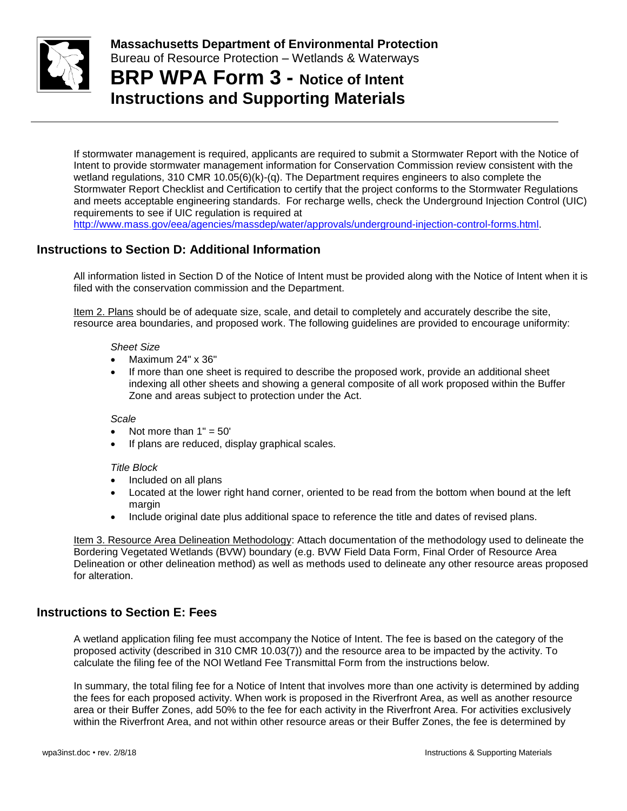

**BRP WPA Form 3 - Notice of Intent Instructions and Supporting Materials**

If stormwater management is required, applicants are required to submit a Stormwater Report with the Notice of Intent to provide stormwater management information for Conservation Commission review consistent with the wetland regulations, 310 CMR 10.05(6)(k)-(q). The Department requires engineers to also complete the Stormwater Report Checklist and Certification to certify that the project conforms to the Stormwater Regulations and meets acceptable engineering standards. For recharge wells, check the Underground Injection Control (UIC) requirements to see if UIC regulation is required at [http://www.mass.gov/eea/agencies/massdep/water/approvals/underground-injection-control-forms.html.](http://www.mass.gov/eea/agencies/massdep/water/approvals/underground-injection-control-forms.html)

## **Instructions to Section D: Additional Information**

All information listed in Section D of the Notice of Intent must be provided along with the Notice of Intent when it is filed with the conservation commission and the Department.

Item 2. Plans should be of adequate size, scale, and detail to completely and accurately describe the site, resource area boundaries, and proposed work. The following guidelines are provided to encourage uniformity:

#### *Sheet Size*

- Maximum 24" x 36"
- If more than one sheet is required to describe the proposed work, provide an additional sheet indexing all other sheets and showing a general composite of all work proposed within the Buffer Zone and areas subject to protection under the Act.

#### *Scale*

- Not more than  $1" = 50'$
- If plans are reduced, display graphical scales.

#### *Title Block*

- Included on all plans
- Located at the lower right hand corner, oriented to be read from the bottom when bound at the left margin
- Include original date plus additional space to reference the title and dates of revised plans.

Item 3. Resource Area Delineation Methodology: Attach documentation of the methodology used to delineate the Bordering Vegetated Wetlands (BVW) boundary (e.g. BVW Field Data Form, Final Order of Resource Area Delineation or other delineation method) as well as methods used to delineate any other resource areas proposed for alteration.

#### **Instructions to Section E: Fees**

A wetland application filing fee must accompany the Notice of Intent. The fee is based on the category of the proposed activity (described in 310 CMR 10.03(7)) and the resource area to be impacted by the activity. To calculate the filing fee of the NOI Wetland Fee Transmittal Form from the instructions below.

In summary, the total filing fee for a Notice of Intent that involves more than one activity is determined by adding the fees for each proposed activity. When work is proposed in the Riverfront Area, as well as another resource area or their Buffer Zones, add 50% to the fee for each activity in the Riverfront Area. For activities exclusively within the Riverfront Area, and not within other resource areas or their Buffer Zones, the fee is determined by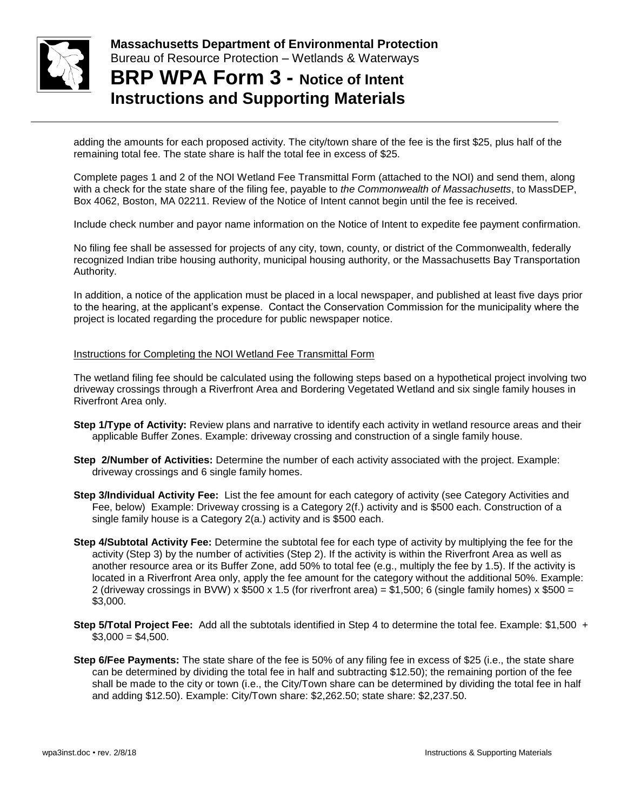

**Massachusetts Department of Environmental Protection**  Bureau of Resource Protection – Wetlands & Waterways **BRP WPA Form 3 - Notice of Intent**

**Instructions and Supporting Materials**

adding the amounts for each proposed activity. The city/town share of the fee is the first \$25, plus half of the remaining total fee. The state share is half the total fee in excess of \$25.

Complete pages 1 and 2 of the NOI Wetland Fee Transmittal Form (attached to the NOI) and send them, along with a check for the state share of the filing fee, payable to *the Commonwealth of Massachusetts*, to MassDEP, Box 4062, Boston, MA 02211. Review of the Notice of Intent cannot begin until the fee is received.

Include check number and payor name information on the Notice of Intent to expedite fee payment confirmation.

No filing fee shall be assessed for projects of any city, town, county, or district of the Commonwealth, federally recognized Indian tribe housing authority, municipal housing authority, or the Massachusetts Bay Transportation Authority.

In addition, a notice of the application must be placed in a local newspaper, and published at least five days prior to the hearing, at the applicant's expense. Contact the Conservation Commission for the municipality where the project is located regarding the procedure for public newspaper notice.

#### Instructions for Completing the NOI Wetland Fee Transmittal Form

The wetland filing fee should be calculated using the following steps based on a hypothetical project involving two driveway crossings through a Riverfront Area and Bordering Vegetated Wetland and six single family houses in Riverfront Area only.

- **Step 1/Type of Activity:** Review plans and narrative to identify each activity in wetland resource areas and their applicable Buffer Zones. Example: driveway crossing and construction of a single family house.
- **Step 2/Number of Activities:** Determine the number of each activity associated with the project. Example: driveway crossings and 6 single family homes.
- **Step 3/Individual Activity Fee:** List the fee amount for each category of activity (see Category Activities and Fee, below) Example: Driveway crossing is a Category 2(f.) activity and is \$500 each. Construction of a single family house is a Category 2(a.) activity and is \$500 each.
- **Step 4/Subtotal Activity Fee:** Determine the subtotal fee for each type of activity by multiplying the fee for the activity (Step 3) by the number of activities (Step 2). If the activity is within the Riverfront Area as well as another resource area or its Buffer Zone, add 50% to total fee (e.g., multiply the fee by 1.5). If the activity is located in a Riverfront Area only, apply the fee amount for the category without the additional 50%. Example: 2 (driveway crossings in BVW) x  $$500 \times 1.5$  (for riverfront area) = \$1,500; 6 (single family homes) x  $$500 =$ \$3,000.
- **Step 5/Total Project Fee:** Add all the subtotals identified in Step 4 to determine the total fee. Example: \$1,500 +  $$3,000 = $4,500.$
- **Step 6/Fee Payments:** The state share of the fee is 50% of any filing fee in excess of \$25 (i.e., the state share can be determined by dividing the total fee in half and subtracting \$12.50); the remaining portion of the fee shall be made to the city or town (i.e., the City/Town share can be determined by dividing the total fee in half and adding \$12.50). Example: City/Town share: \$2,262.50; state share: \$2,237.50.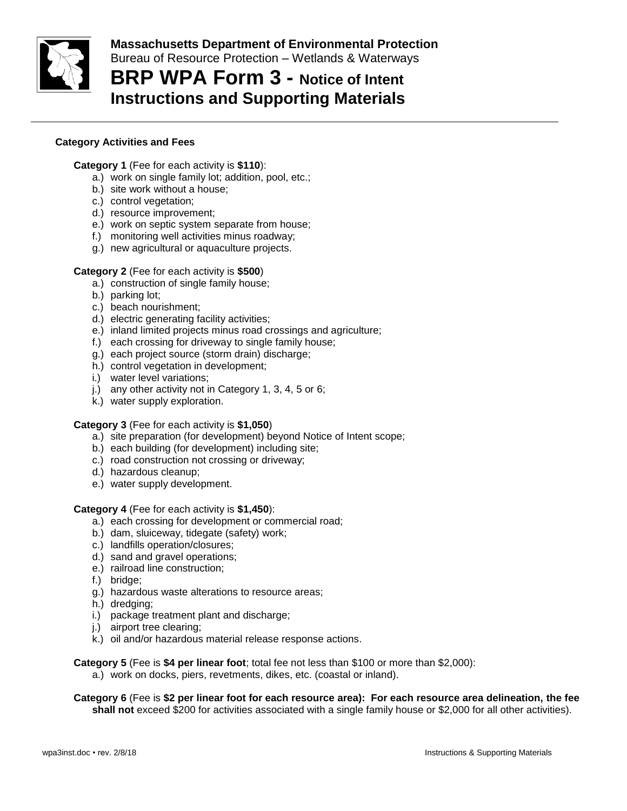

# **BRP WPA Form 3 - Notice of Intent Instructions and Supporting Materials**

#### **Category Activities and Fees**

#### **Category 1** (Fee for each activity is **\$110**):

- a.) work on single family lot; addition, pool, etc.;
- b.) site work without a house;
- c.) control vegetation;
- d.) resource improvement;
- e.) work on septic system separate from house;
- f.) monitoring well activities minus roadway;
- g.) new agricultural or aquaculture projects.

#### **Category 2** (Fee for each activity is **\$500**)

- a.) construction of single family house;
- b.) parking lot;
- c.) beach nourishment;
- d.) electric generating facility activities;
- e.) inland limited projects minus road crossings and agriculture;
- f.) each crossing for driveway to single family house;
- g.) each project source (storm drain) discharge;
- h.) control vegetation in development;
- i.) water level variations;
- j.) any other activity not in Category 1, 3, 4, 5 or 6;
- k.) water supply exploration.

#### **Category 3** (Fee for each activity is **\$1,050**)

- a.) site preparation (for development) beyond Notice of Intent scope;
- b.) each building (for development) including site;
- c.) road construction not crossing or driveway;
- d.) hazardous cleanup;
- e.) water supply development.

#### **Category 4** (Fee for each activity is **\$1,450**):

- a.) each crossing for development or commercial road;
- b.) dam, sluiceway, tidegate (safety) work;
- c.) landfills operation/closures;
- d.) sand and gravel operations;
- e.) railroad line construction;
- f.) bridge;
- g.) hazardous waste alterations to resource areas;
- h.) dredging;
- i.) package treatment plant and discharge;
- j.) airport tree clearing;
- k.) oil and/or hazardous material release response actions.

**Category 5** (Fee is **\$4 per linear foot**; total fee not less than \$100 or more than \$2,000):

a.) work on docks, piers, revetments, dikes, etc. (coastal or inland).

**Category 6** (Fee is **\$2 per linear foot for each resource area): For each resource area delineation, the fee shall not** exceed \$200 for activities associated with a single family house or \$2,000 for all other activities).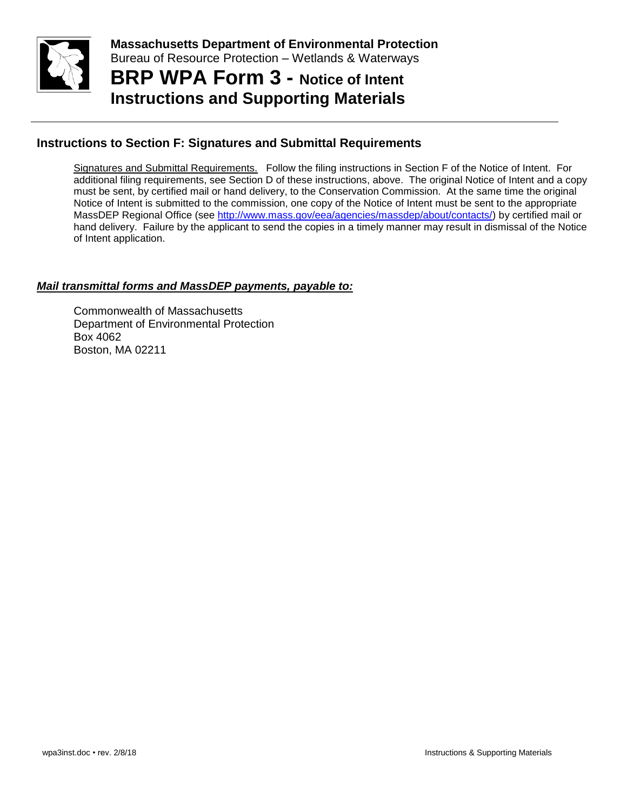

**Massachusetts Department of Environmental Protection**  Bureau of Resource Protection – Wetlands & Waterways **BRP WPA Form 3 - Notice of Intent**

**Instructions and Supporting Materials**

## **Instructions to Section F: Signatures and Submittal Requirements**

Signatures and Submittal Requirements. Follow the filing instructions in Section F of the Notice of Intent. For additional filing requirements, see Section D of these instructions, above. The original Notice of Intent and a copy must be sent, by certified mail or hand delivery, to the Conservation Commission. At the same time the original Notice of Intent is submitted to the commission, one copy of the Notice of Intent must be sent to the appropriate MassDEP Regional Office (see [http://www.mass.gov/eea/agencies/massdep/about/contacts/\)](http://www.mass.gov/eea/agencies/massdep/about/contacts/) by certified mail or hand delivery. Failure by the applicant to send the copies in a timely manner may result in dismissal of the Notice of Intent application.

#### *Mail transmittal forms and MassDEP payments, payable to:*

Commonwealth of Massachusetts Department of Environmental Protection Box 4062 Boston, MA 02211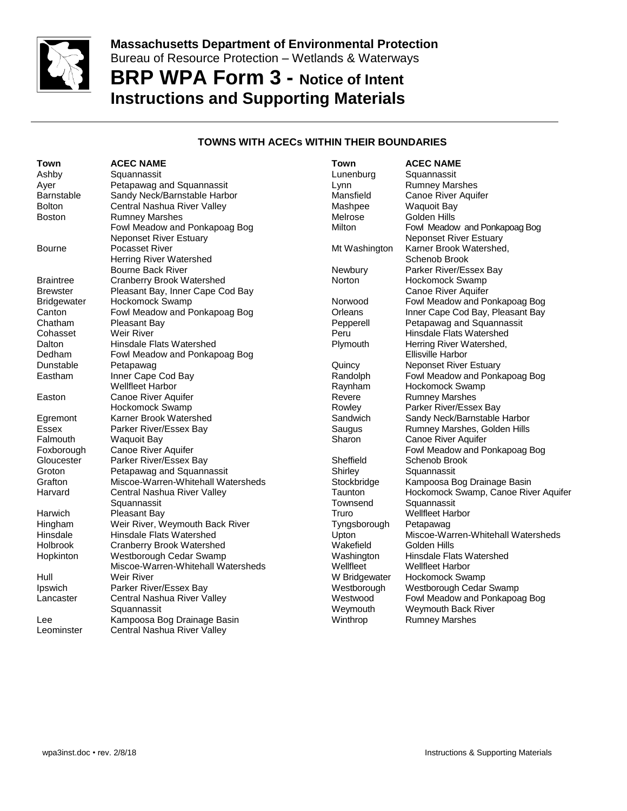

# **BRP WPA Form 3 - Notice of Intent Instructions and Supporting Materials**

#### **TOWNS WITH ACECs WITHIN THEIR BOUNDARIES**

| Ashby<br>Squannassit<br>Lunenburg<br>Squannassit<br>Petapawag and Squannassit<br><b>Rumney Marshes</b><br>Ayer<br>Lynn<br>Sandy Neck/Barnstable Harbor<br>Mansfield<br>Canoe River Aquifer<br><b>Barnstable</b><br><b>Bolton</b><br>Central Nashua River Valley<br><b>Waquoit Bay</b><br>Mashpee<br><b>Rumney Marshes</b><br>Golden Hills<br>Melrose<br><b>Boston</b><br>Fowl Meadow and Ponkapoag Bog<br>Milton<br>Fowl Meadow and Ponkapoag Bog<br><b>Neponset River Estuary</b><br><b>Neponset River Estuary</b><br>Pocasset River<br>Karner Brook Watershed,<br>Mt Washington<br>Bourne<br>Herring River Watershed<br>Schenob Brook<br><b>Bourne Back River</b><br>Newbury<br>Parker River/Essex Bay<br><b>Cranberry Brook Watershed</b><br>Norton<br>Hockomock Swamp<br><b>Braintree</b><br>Pleasant Bay, Inner Cape Cod Bay<br>Canoe River Aquifer<br><b>Brewster</b><br>Fowl Meadow and Ponkapoag Bog<br>Hockomock Swamp<br>Norwood<br><b>Bridgewater</b><br>Fowl Meadow and Ponkapoag Bog<br>Inner Cape Cod Bay, Pleasant Bay<br>Canton<br>Orleans<br>Petapawag and Squannassit<br>Chatham<br>Pleasant Bay<br>Pepperell<br>Weir River<br>Peru<br><b>Hinsdale Flats Watershed</b><br>Cohasset<br>Hinsdale Flats Watershed<br>Dalton<br>Plymouth<br>Herring River Watershed,<br>Dedham<br>Fowl Meadow and Ponkapoag Bog<br>Ellisville Harbor<br>Dunstable<br>Quincy<br><b>Neponset River Estuary</b><br>Petapawag<br>Inner Cape Cod Bay<br>Randolph<br>Fowl Meadow and Ponkapoag Bog<br>Eastham<br><b>Wellfleet Harbor</b><br>Raynham<br><b>Hockomock Swamp</b><br>Canoe River Aquifer<br>Revere<br><b>Rumney Marshes</b><br>Easton<br>Parker River/Essex Bay<br>Hockomock Swamp<br>Rowley<br>Karner Brook Watershed<br>Sandwich<br>Sandy Neck/Barnstable Harbor<br>Egremont<br>Essex<br>Parker River/Essex Bay<br>Saugus<br>Rumney Marshes, Golden Hills<br>Sharon<br>Canoe River Aquifer<br>Falmouth<br><b>Waquoit Bay</b> | Town | <b>ACEC NAME</b> | <b>Town</b> | <b>ACEC NAME</b>                     |
|------------------------------------------------------------------------------------------------------------------------------------------------------------------------------------------------------------------------------------------------------------------------------------------------------------------------------------------------------------------------------------------------------------------------------------------------------------------------------------------------------------------------------------------------------------------------------------------------------------------------------------------------------------------------------------------------------------------------------------------------------------------------------------------------------------------------------------------------------------------------------------------------------------------------------------------------------------------------------------------------------------------------------------------------------------------------------------------------------------------------------------------------------------------------------------------------------------------------------------------------------------------------------------------------------------------------------------------------------------------------------------------------------------------------------------------------------------------------------------------------------------------------------------------------------------------------------------------------------------------------------------------------------------------------------------------------------------------------------------------------------------------------------------------------------------------------------------------------------------------------------------------------------------------------------------|------|------------------|-------------|--------------------------------------|
|                                                                                                                                                                                                                                                                                                                                                                                                                                                                                                                                                                                                                                                                                                                                                                                                                                                                                                                                                                                                                                                                                                                                                                                                                                                                                                                                                                                                                                                                                                                                                                                                                                                                                                                                                                                                                                                                                                                                    |      |                  |             |                                      |
|                                                                                                                                                                                                                                                                                                                                                                                                                                                                                                                                                                                                                                                                                                                                                                                                                                                                                                                                                                                                                                                                                                                                                                                                                                                                                                                                                                                                                                                                                                                                                                                                                                                                                                                                                                                                                                                                                                                                    |      |                  |             |                                      |
|                                                                                                                                                                                                                                                                                                                                                                                                                                                                                                                                                                                                                                                                                                                                                                                                                                                                                                                                                                                                                                                                                                                                                                                                                                                                                                                                                                                                                                                                                                                                                                                                                                                                                                                                                                                                                                                                                                                                    |      |                  |             |                                      |
|                                                                                                                                                                                                                                                                                                                                                                                                                                                                                                                                                                                                                                                                                                                                                                                                                                                                                                                                                                                                                                                                                                                                                                                                                                                                                                                                                                                                                                                                                                                                                                                                                                                                                                                                                                                                                                                                                                                                    |      |                  |             |                                      |
|                                                                                                                                                                                                                                                                                                                                                                                                                                                                                                                                                                                                                                                                                                                                                                                                                                                                                                                                                                                                                                                                                                                                                                                                                                                                                                                                                                                                                                                                                                                                                                                                                                                                                                                                                                                                                                                                                                                                    |      |                  |             |                                      |
|                                                                                                                                                                                                                                                                                                                                                                                                                                                                                                                                                                                                                                                                                                                                                                                                                                                                                                                                                                                                                                                                                                                                                                                                                                                                                                                                                                                                                                                                                                                                                                                                                                                                                                                                                                                                                                                                                                                                    |      |                  |             |                                      |
|                                                                                                                                                                                                                                                                                                                                                                                                                                                                                                                                                                                                                                                                                                                                                                                                                                                                                                                                                                                                                                                                                                                                                                                                                                                                                                                                                                                                                                                                                                                                                                                                                                                                                                                                                                                                                                                                                                                                    |      |                  |             |                                      |
|                                                                                                                                                                                                                                                                                                                                                                                                                                                                                                                                                                                                                                                                                                                                                                                                                                                                                                                                                                                                                                                                                                                                                                                                                                                                                                                                                                                                                                                                                                                                                                                                                                                                                                                                                                                                                                                                                                                                    |      |                  |             |                                      |
|                                                                                                                                                                                                                                                                                                                                                                                                                                                                                                                                                                                                                                                                                                                                                                                                                                                                                                                                                                                                                                                                                                                                                                                                                                                                                                                                                                                                                                                                                                                                                                                                                                                                                                                                                                                                                                                                                                                                    |      |                  |             |                                      |
|                                                                                                                                                                                                                                                                                                                                                                                                                                                                                                                                                                                                                                                                                                                                                                                                                                                                                                                                                                                                                                                                                                                                                                                                                                                                                                                                                                                                                                                                                                                                                                                                                                                                                                                                                                                                                                                                                                                                    |      |                  |             |                                      |
|                                                                                                                                                                                                                                                                                                                                                                                                                                                                                                                                                                                                                                                                                                                                                                                                                                                                                                                                                                                                                                                                                                                                                                                                                                                                                                                                                                                                                                                                                                                                                                                                                                                                                                                                                                                                                                                                                                                                    |      |                  |             |                                      |
|                                                                                                                                                                                                                                                                                                                                                                                                                                                                                                                                                                                                                                                                                                                                                                                                                                                                                                                                                                                                                                                                                                                                                                                                                                                                                                                                                                                                                                                                                                                                                                                                                                                                                                                                                                                                                                                                                                                                    |      |                  |             |                                      |
|                                                                                                                                                                                                                                                                                                                                                                                                                                                                                                                                                                                                                                                                                                                                                                                                                                                                                                                                                                                                                                                                                                                                                                                                                                                                                                                                                                                                                                                                                                                                                                                                                                                                                                                                                                                                                                                                                                                                    |      |                  |             |                                      |
|                                                                                                                                                                                                                                                                                                                                                                                                                                                                                                                                                                                                                                                                                                                                                                                                                                                                                                                                                                                                                                                                                                                                                                                                                                                                                                                                                                                                                                                                                                                                                                                                                                                                                                                                                                                                                                                                                                                                    |      |                  |             |                                      |
|                                                                                                                                                                                                                                                                                                                                                                                                                                                                                                                                                                                                                                                                                                                                                                                                                                                                                                                                                                                                                                                                                                                                                                                                                                                                                                                                                                                                                                                                                                                                                                                                                                                                                                                                                                                                                                                                                                                                    |      |                  |             |                                      |
|                                                                                                                                                                                                                                                                                                                                                                                                                                                                                                                                                                                                                                                                                                                                                                                                                                                                                                                                                                                                                                                                                                                                                                                                                                                                                                                                                                                                                                                                                                                                                                                                                                                                                                                                                                                                                                                                                                                                    |      |                  |             |                                      |
|                                                                                                                                                                                                                                                                                                                                                                                                                                                                                                                                                                                                                                                                                                                                                                                                                                                                                                                                                                                                                                                                                                                                                                                                                                                                                                                                                                                                                                                                                                                                                                                                                                                                                                                                                                                                                                                                                                                                    |      |                  |             |                                      |
|                                                                                                                                                                                                                                                                                                                                                                                                                                                                                                                                                                                                                                                                                                                                                                                                                                                                                                                                                                                                                                                                                                                                                                                                                                                                                                                                                                                                                                                                                                                                                                                                                                                                                                                                                                                                                                                                                                                                    |      |                  |             |                                      |
|                                                                                                                                                                                                                                                                                                                                                                                                                                                                                                                                                                                                                                                                                                                                                                                                                                                                                                                                                                                                                                                                                                                                                                                                                                                                                                                                                                                                                                                                                                                                                                                                                                                                                                                                                                                                                                                                                                                                    |      |                  |             |                                      |
|                                                                                                                                                                                                                                                                                                                                                                                                                                                                                                                                                                                                                                                                                                                                                                                                                                                                                                                                                                                                                                                                                                                                                                                                                                                                                                                                                                                                                                                                                                                                                                                                                                                                                                                                                                                                                                                                                                                                    |      |                  |             |                                      |
|                                                                                                                                                                                                                                                                                                                                                                                                                                                                                                                                                                                                                                                                                                                                                                                                                                                                                                                                                                                                                                                                                                                                                                                                                                                                                                                                                                                                                                                                                                                                                                                                                                                                                                                                                                                                                                                                                                                                    |      |                  |             |                                      |
|                                                                                                                                                                                                                                                                                                                                                                                                                                                                                                                                                                                                                                                                                                                                                                                                                                                                                                                                                                                                                                                                                                                                                                                                                                                                                                                                                                                                                                                                                                                                                                                                                                                                                                                                                                                                                                                                                                                                    |      |                  |             |                                      |
|                                                                                                                                                                                                                                                                                                                                                                                                                                                                                                                                                                                                                                                                                                                                                                                                                                                                                                                                                                                                                                                                                                                                                                                                                                                                                                                                                                                                                                                                                                                                                                                                                                                                                                                                                                                                                                                                                                                                    |      |                  |             |                                      |
|                                                                                                                                                                                                                                                                                                                                                                                                                                                                                                                                                                                                                                                                                                                                                                                                                                                                                                                                                                                                                                                                                                                                                                                                                                                                                                                                                                                                                                                                                                                                                                                                                                                                                                                                                                                                                                                                                                                                    |      |                  |             |                                      |
|                                                                                                                                                                                                                                                                                                                                                                                                                                                                                                                                                                                                                                                                                                                                                                                                                                                                                                                                                                                                                                                                                                                                                                                                                                                                                                                                                                                                                                                                                                                                                                                                                                                                                                                                                                                                                                                                                                                                    |      |                  |             |                                      |
|                                                                                                                                                                                                                                                                                                                                                                                                                                                                                                                                                                                                                                                                                                                                                                                                                                                                                                                                                                                                                                                                                                                                                                                                                                                                                                                                                                                                                                                                                                                                                                                                                                                                                                                                                                                                                                                                                                                                    |      |                  |             |                                      |
| Canoe River Aquifer<br>Fowl Meadow and Ponkapoag Bog<br>Foxborough                                                                                                                                                                                                                                                                                                                                                                                                                                                                                                                                                                                                                                                                                                                                                                                                                                                                                                                                                                                                                                                                                                                                                                                                                                                                                                                                                                                                                                                                                                                                                                                                                                                                                                                                                                                                                                                                 |      |                  |             |                                      |
| Parker River/Essex Bay<br>Sheffield<br>Gloucester<br>Schenob Brook                                                                                                                                                                                                                                                                                                                                                                                                                                                                                                                                                                                                                                                                                                                                                                                                                                                                                                                                                                                                                                                                                                                                                                                                                                                                                                                                                                                                                                                                                                                                                                                                                                                                                                                                                                                                                                                                 |      |                  |             |                                      |
| Groton<br>Petapawag and Squannassit<br>Shirley<br>Squannassit                                                                                                                                                                                                                                                                                                                                                                                                                                                                                                                                                                                                                                                                                                                                                                                                                                                                                                                                                                                                                                                                                                                                                                                                                                                                                                                                                                                                                                                                                                                                                                                                                                                                                                                                                                                                                                                                      |      |                  |             |                                      |
| Miscoe-Warren-Whitehall Watersheds<br>Kampoosa Bog Drainage Basin<br>Grafton<br>Stockbridge                                                                                                                                                                                                                                                                                                                                                                                                                                                                                                                                                                                                                                                                                                                                                                                                                                                                                                                                                                                                                                                                                                                                                                                                                                                                                                                                                                                                                                                                                                                                                                                                                                                                                                                                                                                                                                        |      |                  |             |                                      |
| Harvard<br>Central Nashua River Valley<br>Taunton                                                                                                                                                                                                                                                                                                                                                                                                                                                                                                                                                                                                                                                                                                                                                                                                                                                                                                                                                                                                                                                                                                                                                                                                                                                                                                                                                                                                                                                                                                                                                                                                                                                                                                                                                                                                                                                                                  |      |                  |             | Hockomock Swamp, Canoe River Aquifer |
| Squannassit<br>Squannassit<br>Townsend                                                                                                                                                                                                                                                                                                                                                                                                                                                                                                                                                                                                                                                                                                                                                                                                                                                                                                                                                                                                                                                                                                                                                                                                                                                                                                                                                                                                                                                                                                                                                                                                                                                                                                                                                                                                                                                                                             |      |                  |             |                                      |
| <b>Wellfleet Harbor</b><br>Harwich<br>Pleasant Bay<br>Truro                                                                                                                                                                                                                                                                                                                                                                                                                                                                                                                                                                                                                                                                                                                                                                                                                                                                                                                                                                                                                                                                                                                                                                                                                                                                                                                                                                                                                                                                                                                                                                                                                                                                                                                                                                                                                                                                        |      |                  |             |                                      |
| Weir River, Weymouth Back River<br>Hingham<br>Tyngsborough<br>Petapawag                                                                                                                                                                                                                                                                                                                                                                                                                                                                                                                                                                                                                                                                                                                                                                                                                                                                                                                                                                                                                                                                                                                                                                                                                                                                                                                                                                                                                                                                                                                                                                                                                                                                                                                                                                                                                                                            |      |                  |             |                                      |
| Hinsdale<br>Hinsdale Flats Watershed<br>Miscoe-Warren-Whitehall Watersheds<br>Upton                                                                                                                                                                                                                                                                                                                                                                                                                                                                                                                                                                                                                                                                                                                                                                                                                                                                                                                                                                                                                                                                                                                                                                                                                                                                                                                                                                                                                                                                                                                                                                                                                                                                                                                                                                                                                                                |      |                  |             |                                      |
| Wakefield<br>Golden Hills<br><b>Holbrook</b><br><b>Cranberry Brook Watershed</b>                                                                                                                                                                                                                                                                                                                                                                                                                                                                                                                                                                                                                                                                                                                                                                                                                                                                                                                                                                                                                                                                                                                                                                                                                                                                                                                                                                                                                                                                                                                                                                                                                                                                                                                                                                                                                                                   |      |                  |             |                                      |
| Westborough Cedar Swamp<br>Washington<br>Hinsdale Flats Watershed<br>Hopkinton                                                                                                                                                                                                                                                                                                                                                                                                                                                                                                                                                                                                                                                                                                                                                                                                                                                                                                                                                                                                                                                                                                                                                                                                                                                                                                                                                                                                                                                                                                                                                                                                                                                                                                                                                                                                                                                     |      |                  |             |                                      |
| Miscoe-Warren-Whitehall Watersheds<br>Wellfleet<br><b>Wellfleet Harbor</b>                                                                                                                                                                                                                                                                                                                                                                                                                                                                                                                                                                                                                                                                                                                                                                                                                                                                                                                                                                                                                                                                                                                                                                                                                                                                                                                                                                                                                                                                                                                                                                                                                                                                                                                                                                                                                                                         |      |                  |             |                                      |
| Hull<br>Weir River<br>W Bridgewater<br>Hockomock Swamp                                                                                                                                                                                                                                                                                                                                                                                                                                                                                                                                                                                                                                                                                                                                                                                                                                                                                                                                                                                                                                                                                                                                                                                                                                                                                                                                                                                                                                                                                                                                                                                                                                                                                                                                                                                                                                                                             |      |                  |             |                                      |
| Ipswich<br>Parker River/Essex Bay<br>Westborough<br>Westborough Cedar Swamp                                                                                                                                                                                                                                                                                                                                                                                                                                                                                                                                                                                                                                                                                                                                                                                                                                                                                                                                                                                                                                                                                                                                                                                                                                                                                                                                                                                                                                                                                                                                                                                                                                                                                                                                                                                                                                                        |      |                  |             |                                      |
| Westwood<br>Fowl Meadow and Ponkapoag Bog<br>Central Nashua River Valley<br>Lancaster                                                                                                                                                                                                                                                                                                                                                                                                                                                                                                                                                                                                                                                                                                                                                                                                                                                                                                                                                                                                                                                                                                                                                                                                                                                                                                                                                                                                                                                                                                                                                                                                                                                                                                                                                                                                                                              |      |                  |             |                                      |
| Weymouth Back River<br>Squannassit<br>Weymouth                                                                                                                                                                                                                                                                                                                                                                                                                                                                                                                                                                                                                                                                                                                                                                                                                                                                                                                                                                                                                                                                                                                                                                                                                                                                                                                                                                                                                                                                                                                                                                                                                                                                                                                                                                                                                                                                                     |      |                  |             |                                      |
| Kampoosa Bog Drainage Basin<br><b>Rumney Marshes</b><br>Winthrop<br>Lee                                                                                                                                                                                                                                                                                                                                                                                                                                                                                                                                                                                                                                                                                                                                                                                                                                                                                                                                                                                                                                                                                                                                                                                                                                                                                                                                                                                                                                                                                                                                                                                                                                                                                                                                                                                                                                                            |      |                  |             |                                      |
| Central Nashua River Valley<br>Leominster                                                                                                                                                                                                                                                                                                                                                                                                                                                                                                                                                                                                                                                                                                                                                                                                                                                                                                                                                                                                                                                                                                                                                                                                                                                                                                                                                                                                                                                                                                                                                                                                                                                                                                                                                                                                                                                                                          |      |                  |             |                                      |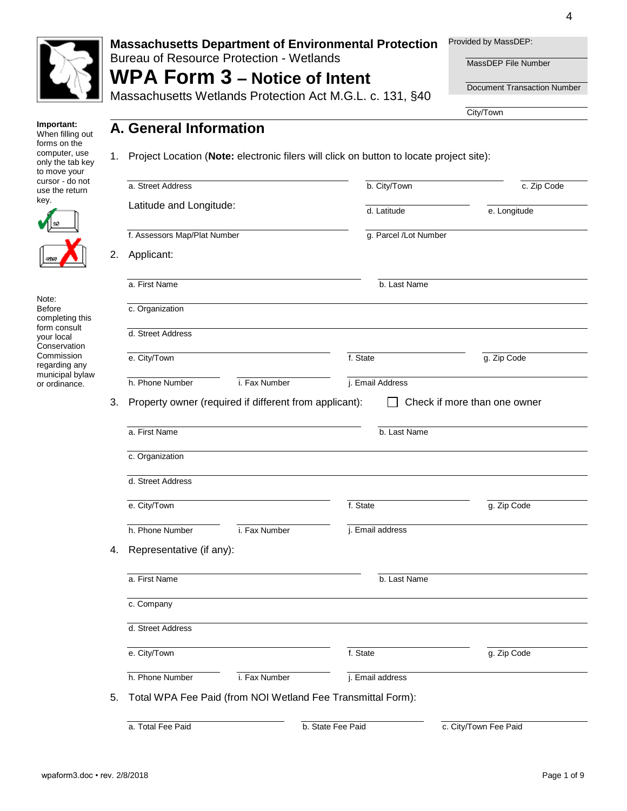

Bureau of Resource Protection - Wetlands

## **WPA Form 3 – Notice of Intent** Massachusetts Wetlands Protection Act M.G.L. c. 131, §40

Provided by MassDEP:

MassDEP File Number

Document Transaction Number

City/Town

**Important:** When filling out forms on the computer, use only the tab key to move your cursor - do not use the return key.



Note: Before completing this form consult your local **Conservation** Commission regarding any municipal bylaw or ordinance.

1. Project Location (**Note:** electronic filers will click on button to locate project site):

| a. Street Address<br>Latitude and Longitude: |                                                        | b. City/Town          | c. Zip Code                  |
|----------------------------------------------|--------------------------------------------------------|-----------------------|------------------------------|
|                                              |                                                        | d. Latitude           | e. Longitude                 |
| f. Assessors Map/Plat Number                 |                                                        | g. Parcel /Lot Number |                              |
| Applicant:                                   |                                                        |                       |                              |
| a. First Name                                |                                                        | b. Last Name          |                              |
| c. Organization                              |                                                        |                       |                              |
| d. Street Address                            |                                                        |                       |                              |
| e. City/Town                                 |                                                        | f. State              | g. Zip Code                  |
| h. Phone Number                              | i. Fax Number                                          | j. Email Address      |                              |
|                                              | Property owner (required if different from applicant): |                       | Check if more than one owner |
| a. First Name                                |                                                        | b. Last Name          |                              |
| c. Organization                              |                                                        |                       |                              |
| d. Street Address                            |                                                        |                       |                              |
| e. City/Town                                 |                                                        | f. State              | g. Zip Code                  |
| h. Phone Number<br>Representative (if any):  | i. Fax Number                                          | j. Email address      |                              |
| a. First Name                                |                                                        | b. Last Name          |                              |
| c. Company                                   |                                                        |                       |                              |
| d. Street Address                            |                                                        |                       |                              |
| e. City/Town                                 |                                                        | f. State              | g. Zip Code                  |

a. Total Fee Paid b. State Fee Paid c. City/Town Fee Paid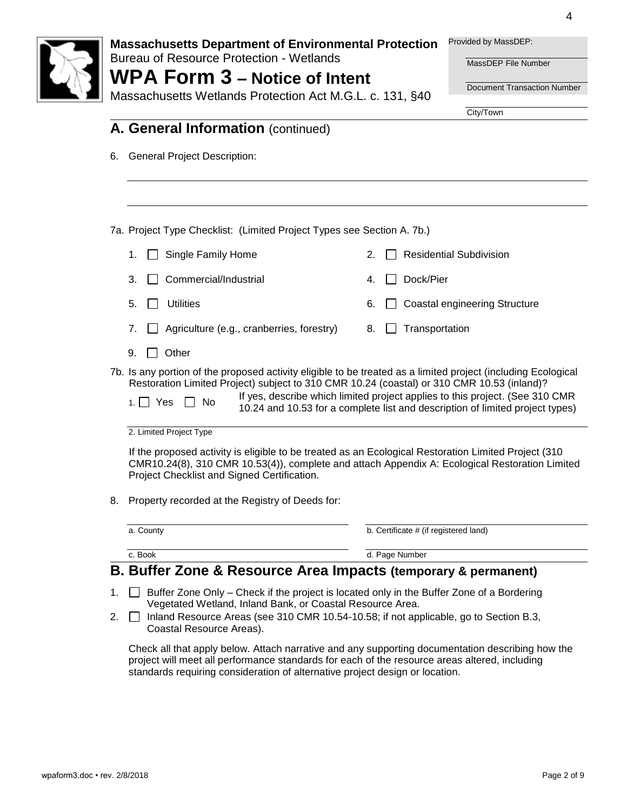

Bureau of Resource Protection - Wetlands

# **WPA Form 3 – Notice of Intent**

Provided by MassDEP:

MassDEP File Number

Document Transaction Number

City/Town

131, §40

| <b>WPA FORM <math>3</math> – Notice of Intent</b> |  |
|---------------------------------------------------|--|
| Massachusetts Wetlands Protection Act M.G.L. c.   |  |

| <b>General Project Description:</b><br>6.                                                                                                                                                                                          |                                                                                                                                                               |
|------------------------------------------------------------------------------------------------------------------------------------------------------------------------------------------------------------------------------------|---------------------------------------------------------------------------------------------------------------------------------------------------------------|
|                                                                                                                                                                                                                                    |                                                                                                                                                               |
| 7a. Project Type Checklist: (Limited Project Types see Section A. 7b.)                                                                                                                                                             |                                                                                                                                                               |
| Single Family Home<br>1.                                                                                                                                                                                                           | <b>Residential Subdivision</b><br>2.                                                                                                                          |
| Commercial/Industrial<br>3.                                                                                                                                                                                                        | Dock/Pier<br>4.                                                                                                                                               |
| <b>Utilities</b><br>5.                                                                                                                                                                                                             | <b>Coastal engineering Structure</b><br>6.                                                                                                                    |
| 7.<br>Agriculture (e.g., cranberries, forestry)                                                                                                                                                                                    | Transportation<br>8.                                                                                                                                          |
| Other<br>9.                                                                                                                                                                                                                        |                                                                                                                                                               |
| 7b. Is any portion of the proposed activity eligible to be treated as a limited project (including Ecological<br>Restoration Limited Project) subject to 310 CMR 10.24 (coastal) or 310 CMR 10.53 (inland)?<br>1. $\Box$ Yes<br>No | If yes, describe which limited project applies to this project. (See 310 CMR<br>10.24 and 10.53 for a complete list and description of limited project types) |
| 2. Limited Project Type                                                                                                                                                                                                            |                                                                                                                                                               |
|                                                                                                                                                                                                                                    | If the proposed activity is eligible to be treated as an Ecological Restoration Limited Project (310                                                          |
| CMR10.24(8), 310 CMR 10.53(4)), complete and attach Appendix A: Ecological Restoration Limited<br>Project Checklist and Signed Certification.                                                                                      |                                                                                                                                                               |
| Property recorded at the Registry of Deeds for:                                                                                                                                                                                    |                                                                                                                                                               |
| 8.<br>a. County                                                                                                                                                                                                                    | b. Certificate # (if registered land)                                                                                                                         |

Vegetated Wetland, Inland Bank, or Coastal Resource Area.

standards requiring consideration of alternative project design or location.

2. □ Inland Resource Areas (see 310 CMR 10.54-10.58; if not applicable, go to Section B.3,

Check all that apply below. Attach narrative and any supporting documentation describing how the project will meet all performance standards for each of the resource areas altered, including

Coastal Resource Areas).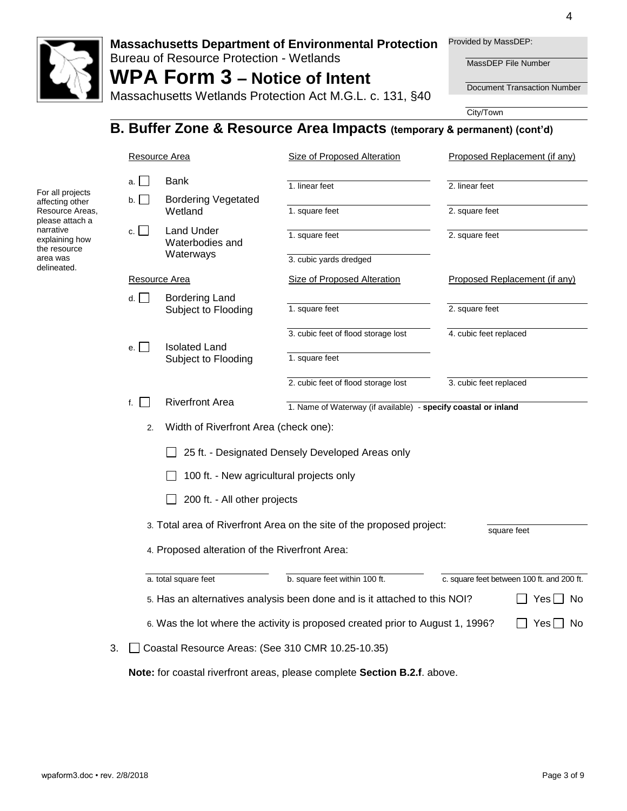

#### **Massachusetts Department of Environmental Protection**  Provided by MassDEP:

Bureau of Resource Protection - Wetlands

# **WPA Form 3 – Notice of Intent**

Massachusetts Wetlands Protection Act M.G.L. c. 131, §40

MassDEP File Number

Document Transaction Number

City/Town

## **B. Buffer Zone & Resource Area Impacts (temporary & permanent) (cont'd)**

|                                                                |                                                  | Resource Area                                     | <b>Size of Proposed Alteration</b>                                             | Proposed Replacement (if any)              |  |  |
|----------------------------------------------------------------|--------------------------------------------------|---------------------------------------------------|--------------------------------------------------------------------------------|--------------------------------------------|--|--|
| For all projects                                               | a.                                               | Bank                                              | 1. linear feet                                                                 | 2. linear feet                             |  |  |
| affecting other<br>Resource Areas,                             | b.                                               | <b>Bordering Vegetated</b><br>Wetland             | 1. square feet                                                                 | 2. square feet                             |  |  |
| please attach a<br>narrative<br>explaining how<br>the resource | c.                                               | <b>Land Under</b><br>Waterbodies and              | 1. square feet                                                                 | 2. square feet                             |  |  |
| area was<br>delineated.                                        |                                                  | Waterways                                         | 3. cubic yards dredged                                                         |                                            |  |  |
|                                                                |                                                  | Resource Area                                     | <b>Size of Proposed Alteration</b>                                             | Proposed Replacement (if any)              |  |  |
|                                                                | d.                                               | Bordering Land<br>Subject to Flooding             | 1. square feet                                                                 | 2. square feet                             |  |  |
|                                                                |                                                  |                                                   | 3. cubic feet of flood storage lost                                            | 4. cubic feet replaced                     |  |  |
|                                                                | e.I<br>$\mathcal{L}$                             | <b>Isolated Land</b><br>Subject to Flooding       | 1. square feet                                                                 |                                            |  |  |
|                                                                |                                                  |                                                   | 2. cubic feet of flood storage lost                                            | 3. cubic feet replaced                     |  |  |
|                                                                | f. I                                             | <b>Riverfront Area</b>                            | 1. Name of Waterway (if available) - specify coastal or inland                 |                                            |  |  |
|                                                                | 2.                                               | Width of Riverfront Area (check one):             |                                                                                |                                            |  |  |
|                                                                | 25 ft. - Designated Densely Developed Areas only |                                                   |                                                                                |                                            |  |  |
|                                                                |                                                  | 100 ft. - New agricultural projects only          |                                                                                |                                            |  |  |
|                                                                |                                                  | 200 ft. - All other projects                      |                                                                                |                                            |  |  |
|                                                                |                                                  |                                                   | 3. Total area of Riverfront Area on the site of the proposed project:          |                                            |  |  |
|                                                                |                                                  | 4. Proposed alteration of the Riverfront Area:    |                                                                                | square feet                                |  |  |
|                                                                |                                                  | a. total square feet                              | b. square feet within 100 ft.                                                  | c. square feet between 100 ft. and 200 ft. |  |  |
|                                                                |                                                  |                                                   | 5. Has an alternatives analysis been done and is it attached to this NOI?      | Yesl<br>No.                                |  |  |
|                                                                |                                                  |                                                   | 6. Was the lot where the activity is proposed created prior to August 1, 1996? | Yes $\Box$<br>No.                          |  |  |
|                                                                | 3.                                               | Coastal Resource Areas: (See 310 CMR 10.25-10.35) |                                                                                |                                            |  |  |
|                                                                |                                                  |                                                   | Note: for coastal riverfront areas, please complete Section B.2.f. above.      |                                            |  |  |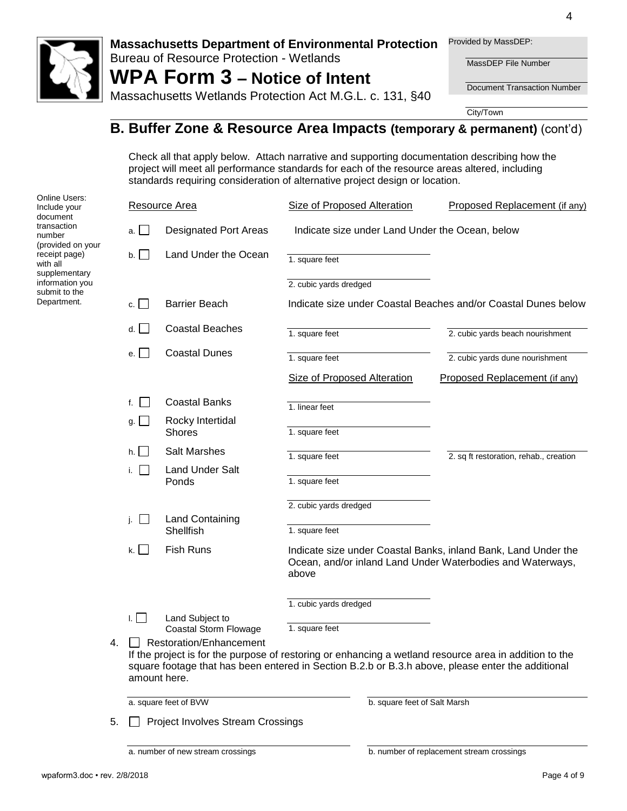

#### **Massachusetts Department of Environmental Protection**  Provided by MassDEP:

Bureau of Resource Protection - Wetlands

# **WPA Form 3 – Notice of Intent**

MassDEP File Number

Document Transaction Number

Massachusetts Wetlands Protection Act M.G.L. c. 131, §40

City/Town

## **B. Buffer Zone & Resource Area Impacts (temporary & permanent)** (cont'd)

Check all that apply below. Attach narrative and supporting documentation describing how the project will meet all performance standards for each of the resource areas altered, including standards requiring consideration of alternative project design or location.

| <b>Online Users:</b><br>Include your<br>document                        |    |                                | Resource Area                            | Size of Proposed Alteration        |                              | Proposed Replacement (if any)                                                                                                                                                                               |
|-------------------------------------------------------------------------|----|--------------------------------|------------------------------------------|------------------------------------|------------------------------|-------------------------------------------------------------------------------------------------------------------------------------------------------------------------------------------------------------|
| transaction<br>number<br>(provided on your<br>receipt page)<br>with all |    | a. $\Box$                      | <b>Designated Port Areas</b>             |                                    |                              | Indicate size under Land Under the Ocean, below                                                                                                                                                             |
|                                                                         |    | $\mathsf{b}$ .                 | Land Under the Ocean                     | 1. square feet                     |                              |                                                                                                                                                                                                             |
| supplementary<br>information you<br>submit to the                       |    |                                |                                          | 2. cubic yards dredged             |                              |                                                                                                                                                                                                             |
| Department.                                                             |    | c. $\Box$                      | <b>Barrier Beach</b>                     |                                    |                              | Indicate size under Coastal Beaches and/or Coastal Dunes below                                                                                                                                              |
|                                                                         |    | d.                             | <b>Coastal Beaches</b>                   | 1. square feet                     |                              | 2. cubic yards beach nourishment                                                                                                                                                                            |
|                                                                         |    | $\blacksquare$<br>e. I         | <b>Coastal Dunes</b>                     | 1. square feet                     |                              | 2. cubic yards dune nourishment                                                                                                                                                                             |
|                                                                         |    |                                |                                          | <b>Size of Proposed Alteration</b> |                              | Proposed Replacement (if any)                                                                                                                                                                               |
|                                                                         |    | f. $\vert$<br>$\sim$           | <b>Coastal Banks</b>                     | 1. linear feet                     |                              |                                                                                                                                                                                                             |
|                                                                         |    | $g \perp$                      | Rocky Intertidal<br><b>Shores</b>        | 1. square feet                     |                              |                                                                                                                                                                                                             |
|                                                                         |    | h.<br>$\overline{\phantom{a}}$ | <b>Salt Marshes</b>                      | 1. square feet                     |                              | 2. sq ft restoration, rehab., creation                                                                                                                                                                      |
|                                                                         |    | i.                             | <b>Land Under Salt</b>                   | 1. square feet                     |                              |                                                                                                                                                                                                             |
|                                                                         |    |                                | Ponds                                    |                                    |                              |                                                                                                                                                                                                             |
|                                                                         |    | j. $\Box$                      | <b>Land Containing</b>                   | 2. cubic yards dredged             |                              |                                                                                                                                                                                                             |
|                                                                         |    |                                | Shellfish                                | 1. square feet                     |                              |                                                                                                                                                                                                             |
|                                                                         |    | k.<br>$\blacksquare$           | <b>Fish Runs</b>                         | above                              |                              | Indicate size under Coastal Banks, inland Bank, Land Under the<br>Ocean, and/or inland Land Under Waterbodies and Waterways,                                                                                |
|                                                                         |    | 1. L. L                        | Land Subject to                          | 1. cubic yards dredged             |                              |                                                                                                                                                                                                             |
|                                                                         |    |                                | Coastal Storm Flowage                    | 1. square feet                     |                              |                                                                                                                                                                                                             |
|                                                                         | 4. |                                | Restoration/Enhancement<br>amount here.  |                                    |                              | If the project is for the purpose of restoring or enhancing a wetland resource area in addition to the<br>square footage that has been entered in Section B.2.b or B.3.h above, please enter the additional |
|                                                                         |    |                                | a. square feet of BVW                    |                                    | b. square feet of Salt Marsh |                                                                                                                                                                                                             |
|                                                                         | 5. |                                | <b>Project Involves Stream Crossings</b> |                                    |                              |                                                                                                                                                                                                             |
|                                                                         |    |                                | a. number of new stream crossings        |                                    |                              | b. number of replacement stream crossings                                                                                                                                                                   |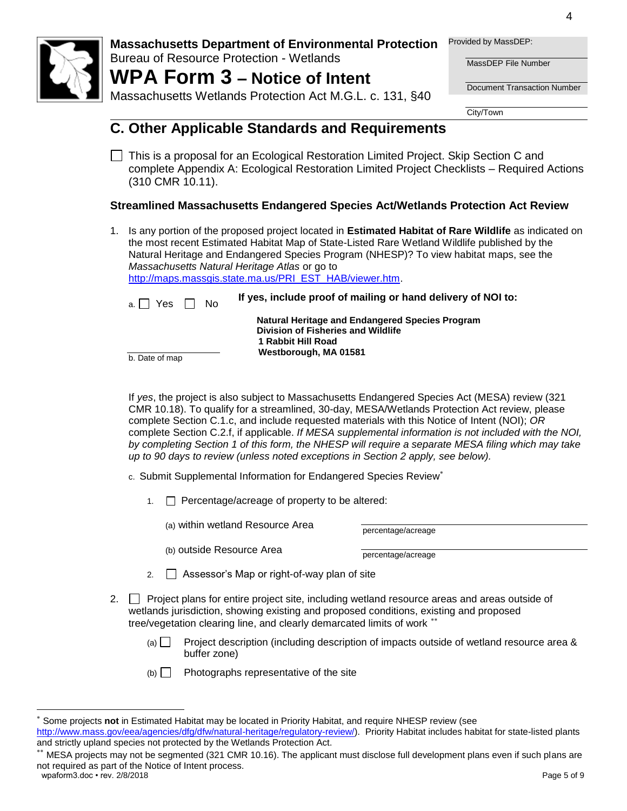

Bureau of Resource Protection - Wetlands

# **WPA Form 3 – Notice of Intent**

Massachusetts Wetlands Protection Act M.G.L. c. 131, §40

Provided by MassDEP:

MassDEP File Number

Document Transaction Number

City/Town

## **C. Other Applicable Standards and Requirements**

This is a proposal for an Ecological Restoration Limited Project. Skip Section C and complete Appendix A: Ecological Restoration Limited Project Checklists – Required Actions (310 CMR 10.11).

## **Streamlined Massachusetts Endangered Species Act/Wetlands Protection Act Review**

1. Is any portion of the proposed project located in **Estimated Habitat of Rare Wildlife** as indicated on the most recent Estimated Habitat Map of State-Listed Rare Wetland Wildlife published by the Natural Heritage and Endangered Species Program (NHESP)? To view habitat maps, see the *Massachusetts Natural Heritage Atlas* or go to [http://maps.massgis.state.ma.us/PRI\\_EST\\_HAB/viewer.htm.](http://maps.massgis.state.ma.us/PRI_EST_HAB/viewer.htm)

| a. |  | Yes |  | N٥ |
|----|--|-----|--|----|
|----|--|-----|--|----|

If yes, include proof of mailing or hand delivery of NOI to: **Natural Heritage and Endangered Species Program Division of Fisheries and Wildlife 1 Rabbit Hill Road**

b. Date of map

If *yes*, the project is also subject to Massachusetts Endangered Species Act (MESA) review (321 CMR 10.18). To qualify for a streamlined, 30-day, MESA/Wetlands Protection Act review, please complete Section C.1.c, and include requested materials with this Notice of Intent (NOI); *OR* complete Section C.2.f, if applicable. *If MESA supplemental information is not included with the NOI, by completing Section 1 of this form, the NHESP will require a separate MESA filing which may take up to 90 days to review (unless noted exceptions in Section 2 apply, see below).*

c. Submit Supplemental Information for Endangered Species Review

 **Westborough, MA 01581**

1.  $\Box$  Percentage/acreage of property to be altered:

(a) within wetland Resource Area  $p_{\text{percentage}/\text{average}}$ 

(b) outside Resource Area percentage/acreage

- 2.  $\Box$  Assessor's Map or right-of-way plan of site
- 2.  $\Box$  Project plans for entire project site, including wetland resource areas and areas outside of wetlands jurisdiction, showing existing and proposed conditions, existing and proposed tree/vegetation clearing line, and clearly demarcated limits of work
	- (a) Project description (including description of impacts outside of wetland resource area  $\&$ buffer zone)
	- $(b)$  Photographs representative of the site

l

<sup>×</sup> Some projects **not** in Estimated Habitat may be located in Priority Habitat, and require NHESP review (see [http://www.mass.gov/eea/agencies/dfg/dfw/natural-heritage/regulatory-review/\)](http://www.mass.gov/eea/agencies/dfg/dfw/natural-heritage/regulatory-review/). Priority Habitat includes habitat for state-listed plants and strictly upland species not protected by the Wetlands Protection Act.

wpaform3.doc • rev. 2/8/2018 **Page 5 of 9** and the version of the version of the version of the version of  $\theta$  and  $\theta$  and  $\theta$  and  $\theta$  and  $\theta$  and  $\theta$  and  $\theta$  and  $\theta$  and  $\theta$  and  $\theta$  and  $\theta$  and  $\theta$  and  $\theta$  an \*\* MESA projects may not be segmented (321 CMR 10.16). The applicant must disclose full development plans even if such plans are not required as part of the Notice of Intent process.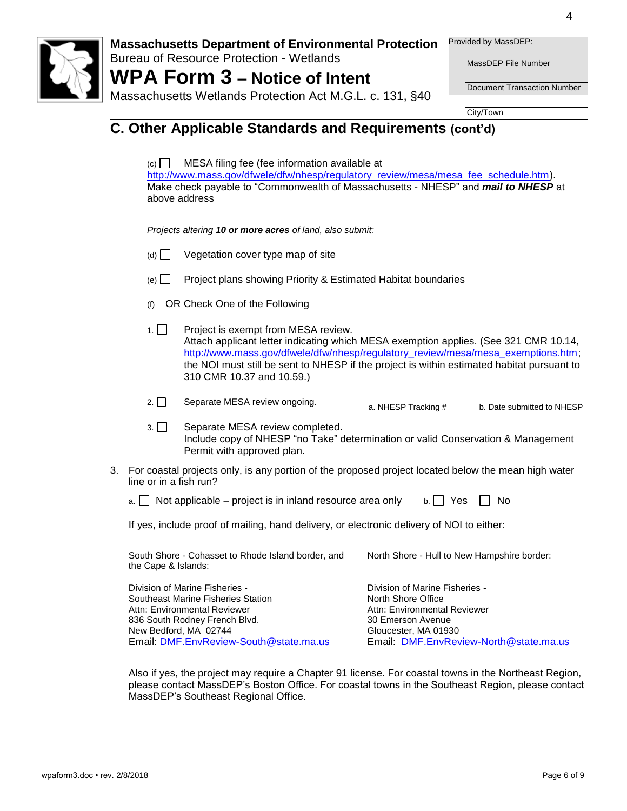

#### **Massachusetts Department of Environmental Protection**  Provided by MassDEP:

Bureau of Resource Protection - Wetlands

**WPA Form 3 – Notice of Intent**

MassDEP File Number

Document Transaction Number

Massachusetts Wetlands Protection Act M.G.L. c. 131, §40

City/Town

## **C. Other Applicable Standards and Requirements (cont'd)**

 $(c)$  MESA filing fee (fee information available at [http://www.mass.gov/dfwele/dfw/nhesp/regulatory\\_review/mesa/mesa\\_fee\\_schedule.htm\)](http://www.mass.gov/dfwele/dfw/nhesp/regulatory_review/mesa/mesa_fee_schedule.htm). Make check payable to "Commonwealth of Massachusetts - NHESP" and *mail to NHESP* at above address

*Projects altering 10 or more acres of land, also submit:*

- $(d)$  Vegetation cover type map of site
- $(e)$  Project plans showing Priority & Estimated Habitat boundaries
- (f) OR Check One of the Following
- 1. **Project is exempt from MESA review.** Attach applicant letter indicating which MESA exemption applies. (See 321 CMR 10.14, [http://www.mass.gov/dfwele/dfw/nhesp/regulatory\\_review/mesa/mesa\\_exemptions.htm;](http://www.mass.gov/dfwele/dfw/nhesp/regulatory_review/mesa/mesa_exemptions.htm) the NOI must still be sent to NHESP if the project is within estimated habitat pursuant to 310 CMR 10.37 and 10.59.)

| $2. \Box$ | Separate MESA review ongoing. | a. NHESP Tracking # | b. Date submitted to NHESP |
|-----------|-------------------------------|---------------------|----------------------------|

- 3. Separate MESA review completed. Include copy of NHESP "no Take" determination or valid Conservation & Management Permit with approved plan.
- 3. For coastal projects only, is any portion of the proposed project located below the mean high water line or in a fish run?

| $\alpha$ . $\Box$ Not applicable – project is in inland resource area only | $b.$ Yes $\Box$ No |  |
|----------------------------------------------------------------------------|--------------------|--|
|----------------------------------------------------------------------------|--------------------|--|

If yes, include proof of mailing, hand delivery, or electronic delivery of NOI to either:

| South Shore - Cohasset to Rhode Island border, and<br>the Cape & Islands: | North Shore - Hull to New Hampshire border: |
|---------------------------------------------------------------------------|---------------------------------------------|
| Division of Marine Fisheries -                                            | Division of Marine Fisheries -              |
| Southeast Marine Fisheries Station.                                       | North Shore Office                          |

ist Marine Fisheries Sta Attn: Environmental Reviewer 836 South Rodney French Blvd. New Bedford, MA 02744 Email: [DMF.EnvReview-South@state.ma.us](mailto:DMF.EnvReview-South@state.ma.us)

North Shore Office Attn: Environmental Reviewer 30 Emerson Avenue Gloucester, MA 01930 Email: [DMF.EnvReview-North@state.ma.us](mailto:DMF.EnvReview-North@state.ma.us)

Also if yes, the project may require a Chapter 91 license. For coastal towns in the Northeast Region, please contact MassDEP's Boston Office. For coastal towns in the Southeast Region, please contact MassDEP's Southeast Regional Office.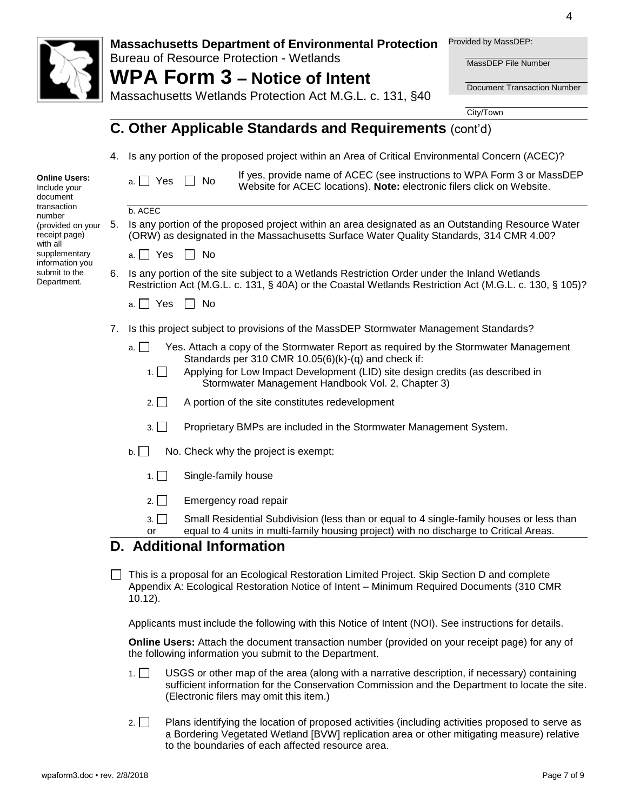|                                                          |    | Provided by MassDEP:<br><b>Massachusetts Department of Environmental Protection</b><br><b>Bureau of Resource Protection - Wetlands</b><br>MassDEP File Number<br><b>WPA Form 3 – Notice of Intent</b><br><b>Document Transaction Number</b><br>Massachusetts Wetlands Protection Act M.G.L. c. 131, §40           |
|----------------------------------------------------------|----|-------------------------------------------------------------------------------------------------------------------------------------------------------------------------------------------------------------------------------------------------------------------------------------------------------------------|
|                                                          |    | City/Town                                                                                                                                                                                                                                                                                                         |
|                                                          |    | C. Other Applicable Standards and Requirements (cont'd)                                                                                                                                                                                                                                                           |
|                                                          | 4. | Is any portion of the proposed project within an Area of Critical Environmental Concern (ACEC)?                                                                                                                                                                                                                   |
| <b>Online Users:</b><br>Include your<br>document         |    | If yes, provide name of ACEC (see instructions to WPA Form 3 or MassDEP<br>a. $\Box$ Yes<br>$\Box$ No<br>Website for ACEC locations). Note: electronic filers click on Website.                                                                                                                                   |
| transaction                                              |    | b. ACEC                                                                                                                                                                                                                                                                                                           |
| number<br>(provided on your<br>receipt page)<br>with all | 5. | Is any portion of the proposed project within an area designated as an Outstanding Resource Water<br>(ORW) as designated in the Massachusetts Surface Water Quality Standards, 314 CMR 4.00?                                                                                                                      |
| supplementary<br>information you                         |    | a. $\Box$ Yes $\Box$ No                                                                                                                                                                                                                                                                                           |
| submit to the<br>Department.                             | 6. | Is any portion of the site subject to a Wetlands Restriction Order under the Inland Wetlands<br>Restriction Act (M.G.L. c. 131, § 40A) or the Coastal Wetlands Restriction Act (M.G.L. c. 130, § 105)?                                                                                                            |
|                                                          |    | a. $\Box$ Yes<br>$\Box$ No                                                                                                                                                                                                                                                                                        |
|                                                          | 7. | Is this project subject to provisions of the MassDEP Stormwater Management Standards?                                                                                                                                                                                                                             |
|                                                          |    | Yes. Attach a copy of the Stormwater Report as required by the Stormwater Management<br>a. I<br>Standards per 310 CMR $10.05(6)(k)$ -(q) and check if:<br>Applying for Low Impact Development (LID) site design credits (as described in<br>1.1 <sub>1</sub><br>Stormwater Management Handbook Vol. 2, Chapter 3) |
|                                                          |    | $2. \Box$<br>A portion of the site constitutes redevelopment                                                                                                                                                                                                                                                      |
|                                                          |    | 3.<br>Proprietary BMPs are included in the Stormwater Management System.                                                                                                                                                                                                                                          |
|                                                          |    | No. Check why the project is exempt:<br>$b.$                                                                                                                                                                                                                                                                      |
|                                                          |    | Single-family house<br>$1. \Box$                                                                                                                                                                                                                                                                                  |
|                                                          |    | Emergency road repair<br>$2. \Box$                                                                                                                                                                                                                                                                                |
|                                                          |    | Small Residential Subdivision (less than or equal to 4 single-family houses or less than<br>3.1<br>equal to 4 units in multi-family housing project) with no discharge to Critical Areas.<br>or                                                                                                                   |
|                                                          |    | D. Additional Information                                                                                                                                                                                                                                                                                         |
|                                                          |    | This is a proposal for an Ecological Restoration Limited Project. Skip Section D and complete<br>Appendix A: Ecological Restoration Notice of Intent - Minimum Required Documents (310 CMR<br>$10.12$ ).                                                                                                          |

Applicants must include the following with this Notice of Intent (NOI). See instructions for details.

**Online Users:** Attach the document transaction number (provided on your receipt page) for any of the following information you submit to the Department.

- 1. USGS or other map of the area (along with a narrative description, if necessary) containing sufficient information for the Conservation Commission and the Department to locate the site. (Electronic filers may omit this item.)
- 2. Plans identifying the location of proposed activities (including activities proposed to serve as a Bordering Vegetated Wetland [BVW] replication area or other mitigating measure) relative to the boundaries of each affected resource area.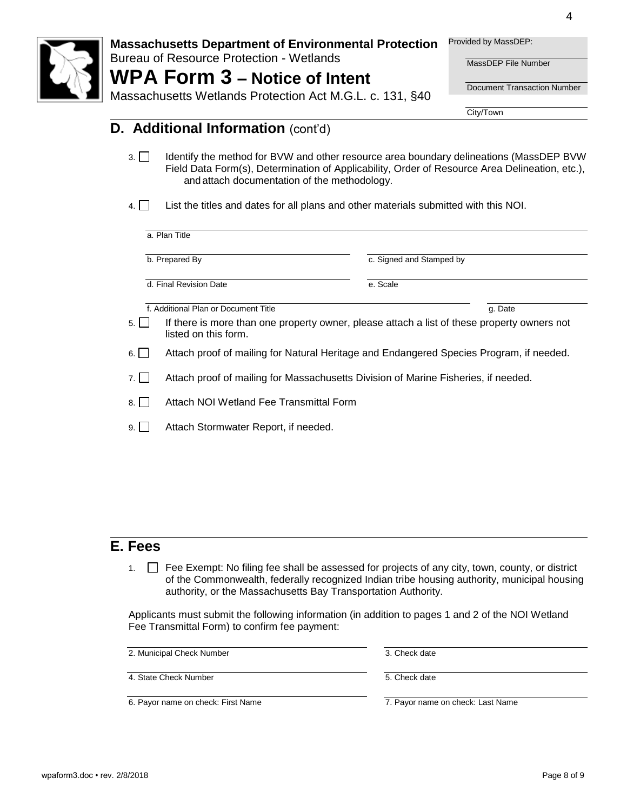

Bureau of Resource Protection - Wetlands

## **WPA Form 3 – Notice of Intent** Massachusetts Wetlands Protection Act M.G.L. c. 131, §40

Provided by MassDEP:

MassDEP File Number

Document Transaction Number

4

City/Town

## **D.** Additional Information (cont'd)

- 3. I Identify the method for BVW and other resource area boundary delineations (MassDEP BVW Field Data Form(s), Determination of Applicability, Order of Resource Area Delineation, etc.), and attach documentation of the methodology.
- $\overline{4}$ . List the titles and dates for all plans and other materials submitted with this NOI.

|        | a. Plan Title                                                                                                       |                          |  |  |  |
|--------|---------------------------------------------------------------------------------------------------------------------|--------------------------|--|--|--|
|        | b. Prepared By                                                                                                      | c. Signed and Stamped by |  |  |  |
|        | d. Final Revision Date                                                                                              | e. Scale                 |  |  |  |
|        | f. Additional Plan or Document Title                                                                                | q. Date                  |  |  |  |
| 5. I I | If there is more than one property owner, please attach a list of these property owners not<br>listed on this form. |                          |  |  |  |
| 6. I   | Attach proof of mailing for Natural Heritage and Endangered Species Program, if needed.                             |                          |  |  |  |
| 7. I   | Attach proof of mailing for Massachusetts Division of Marine Fisheries, if needed.                                  |                          |  |  |  |
| 8. I   | Attach NOI Wetland Fee Transmittal Form                                                                             |                          |  |  |  |
| 9. I   | Attach Stormwater Report, if needed.                                                                                |                          |  |  |  |
|        |                                                                                                                     |                          |  |  |  |

## **E. Fees**

1.  $\Box$  Fee Exempt: No filing fee shall be assessed for projects of any city, town, county, or district of the Commonwealth, federally recognized Indian tribe housing authority, municipal housing authority, or the Massachusetts Bay Transportation Authority.

Applicants must submit the following information (in addition to pages 1 and 2 of the NOI Wetland Fee Transmittal Form) to confirm fee payment:

2. Municipal Check Number 3. Check date

4. State Check Number 5. Check date

6. Payor name on check: First Name 7. Payor name on check: Last Name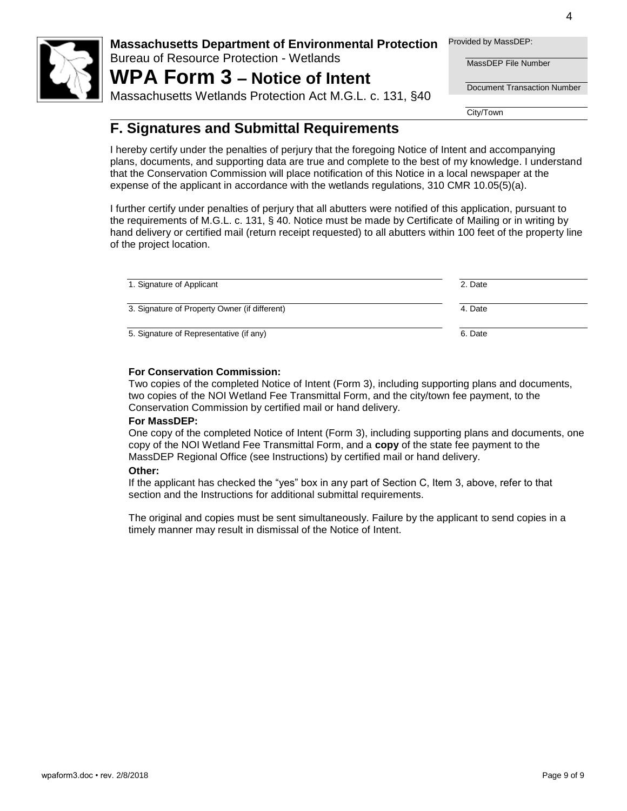

Bureau of Resource Protection - Wetlands

# **WPA Form 3 – Notice of Intent**

Massachusetts Wetlands Protection Act M.G.L. c. 131, §40

Provided by MassDEP:

MassDEP File Number

Document Transaction Number

City/Town

## **F. Signatures and Submittal Requirements**

I hereby certify under the penalties of perjury that the foregoing Notice of Intent and accompanying plans, documents, and supporting data are true and complete to the best of my knowledge. I understand that the Conservation Commission will place notification of this Notice in a local newspaper at the expense of the applicant in accordance with the wetlands regulations, 310 CMR 10.05(5)(a).

I further certify under penalties of perjury that all abutters were notified of this application, pursuant to the requirements of M.G.L. c. 131, § 40. Notice must be made by Certificate of Mailing or in writing by hand delivery or certified mail (return receipt requested) to all abutters within 100 feet of the property line of the project location.

| 1. Signature of Applicant                     | 2. Date |
|-----------------------------------------------|---------|
| 3. Signature of Property Owner (if different) | 4. Date |
| 5. Signature of Representative (if any)       | 6. Date |

#### **For Conservation Commission:**

Two copies of the completed Notice of Intent (Form 3), including supporting plans and documents, two copies of the NOI Wetland Fee Transmittal Form, and the city/town fee payment, to the Conservation Commission by certified mail or hand delivery.

#### **For MassDEP:**

One copy of the completed Notice of Intent (Form 3), including supporting plans and documents, one copy of the NOI Wetland Fee Transmittal Form, and a **copy** of the state fee payment to the MassDEP Regional Office (see Instructions) by certified mail or hand delivery.

#### **Other:**

If the applicant has checked the "yes" box in any part of Section C, Item 3, above, refer to that section and the Instructions for additional submittal requirements.

The original and copies must be sent simultaneously. Failure by the applicant to send copies in a timely manner may result in dismissal of the Notice of Intent.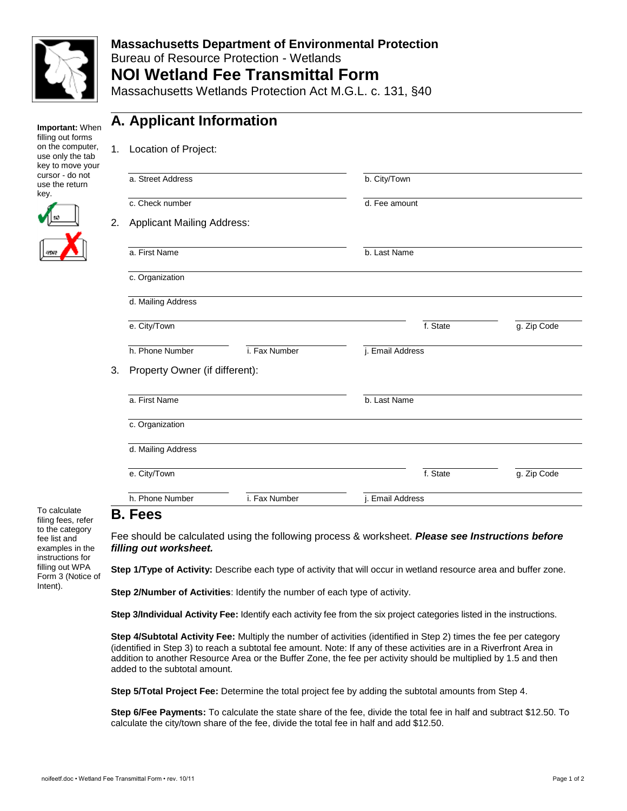

## **Massachusetts Department of Environmental Protection**  Bureau of Resource Protection - Wetlands **NOI Wetland Fee Transmittal Form**

Massachusetts Wetlands Protection Act M.G.L. c. 131, §40

**Important:** When filling out forms on the computer, use only the tab key to move your cursor - do not use the return key.



## **A. Applicant Information**

| Location of Project:<br>1.              |                                |                      |             |  |  |  |
|-----------------------------------------|--------------------------------|----------------------|-------------|--|--|--|
| a. Street Address                       |                                | b. City/Town         |             |  |  |  |
| c. Check number                         |                                | d. Fee amount        |             |  |  |  |
| <b>Applicant Mailing Address:</b><br>2. |                                |                      |             |  |  |  |
| a. First Name                           |                                | b. Last Name         |             |  |  |  |
| c. Organization                         |                                |                      |             |  |  |  |
| d. Mailing Address                      |                                |                      |             |  |  |  |
| e. City/Town                            |                                | f. State             | g. Zip Code |  |  |  |
| h. Phone Number                         | i. Fax Number                  | j. Email Address     |             |  |  |  |
|                                         | Property Owner (if different): |                      |             |  |  |  |
| a. First Name                           |                                | b. Last Name         |             |  |  |  |
| c. Organization                         |                                |                      |             |  |  |  |
| d. Mailing Address                      |                                |                      |             |  |  |  |
| e. City/Town                            |                                | f. State             | g. Zip Code |  |  |  |
| h. Phone Number                         | i. Fax Number                  | <b>Email Address</b> |             |  |  |  |

To calculate filing fees, refer to the category fee list and examples in the instructions for filling out WPA Form 3 (Notice of Intent).

## **B. Fees**

Fee should be calculated using the following process & worksheet. *Please see Instructions before filling out worksheet.*

**Step 1/Type of Activity:** Describe each type of activity that will occur in wetland resource area and buffer zone.

**Step 2/Number of Activities**: Identify the number of each type of activity.

**Step 3/Individual Activity Fee:** Identify each activity fee from the six project categories listed in the instructions.

**Step 4/Subtotal Activity Fee:** Multiply the number of activities (identified in Step 2) times the fee per category (identified in Step 3) to reach a subtotal fee amount. Note: If any of these activities are in a Riverfront Area in addition to another Resource Area or the Buffer Zone, the fee per activity should be multiplied by 1.5 and then added to the subtotal amount.

**Step 5/Total Project Fee:** Determine the total project fee by adding the subtotal amounts from Step 4.

**Step 6/Fee Payments:** To calculate the state share of the fee, divide the total fee in half and subtract \$12.50. To calculate the city/town share of the fee, divide the total fee in half and add \$12.50.